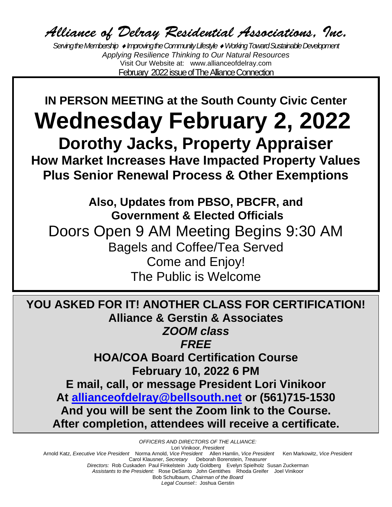Alliance of Delray Residential Associations, Inc.

*Serving the Membership Improving the Community Lifestyle Working Toward Sustainable Development Applying Resilience Thinking to Our Natural Resources* Visit Our Website at: www.allianceofdelray.com February 2022 issue of The Alliance Connection

**IN PERSON MEETING at the South County Civic Center Wednesday February 2, 2022 Dorothy Jacks, Property Appraiser How Market Increases Have Impacted Property Values Plus Senior Renewal Process & Other Exemptions**

**Also, Updates from PBSO, PBCFR, and Government & Elected Officials** Doors Open 9 AM Meeting Begins 9:30 AM Bagels and Coffee/Tea Served Come and Enjoy! The Public is Welcome

**YOU ASKED FOR IT! ANOTHER CLASS FOR CERTIFICATION! Alliance & Gerstin & Associates** *ZOOM class FREE* **HOA/COA Board Certification Course February 10, 2022 6 PM E mail, call, or message President Lori Vinikoor At [allianceofdelray@bellsouth.net](mailto:allianceofdelray@bellsouth.net) or (561)715-1530 And you will be sent the Zoom link to the Course. After completion, attendees will receive a certificate.**

*OFFICERS AND DIRECTORS OF THE ALLIANCE:* Lori Vinikoor, *President*  Arnold Katz, *Executive Vice President* Norma Arnold, *Vice President* Allen Hamlin, *Vice President* Ken Markowitz, *Vice President*  Carol Klausner, *Secretary* Deborah Borenstein, *Treasurer Directors:* Rob Cuskaden Paul FinkelsteinJudy Goldberg Evelyn Spielholz Susan Zuckerman *Assistants to the President:* Rose DeSanto John Gentithes Rhoda Greifer Joel Vinikoor Bob Schulbaum, *Chairman of the Board Legal Counsel*:: Joshua Gerstin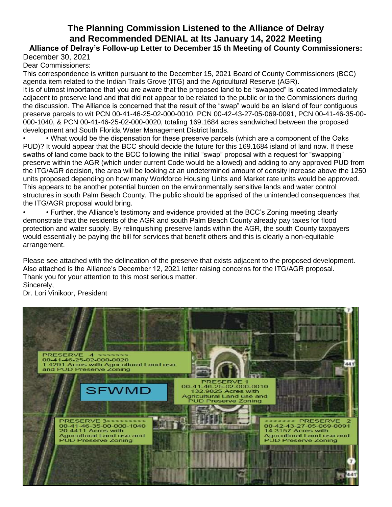# **The Planning Commission Listened to the Alliance of Delray and Recommended DENIAL at Its January 14, 2022 Meeting**

**Alliance of Delray's Follow-up Letter to December 15 th Meeting of County Commissioners:** December 30, 2021

Dear Commissioners:

This correspondence is written pursuant to the December 15, 2021 Board of County Commissioners (BCC) agenda item related to the Indian Trails Grove (ITG) and the Agricultural Reserve (AGR).

It is of utmost importance that you are aware that the proposed land to be "swapped" is located immediately adjacent to preserve land and that did not appear to be related to the public or to the Commissioners during the discussion. The Alliance is concerned that the result of the "swap" would be an island of four contiguous preserve parcels to wit PCN 00-41-46-25-02-000-0010, PCN 00-42-43-27-05-069-0091, PCN 00-41-46-35-00- 000-1040, & PCN 00-41-46-25-02-000-0020, totaling 169.1684 acres sandwiched between the proposed development and South Florida Water Management District lands.

• • What would be the dispensation for these preserve parcels (which are a component of the Oaks PUD)? It would appear that the BCC should decide the future for this 169.1684 island of land now. If these swaths of land come back to the BCC following the initial "swap" proposal with a request for "swapping" preserve within the AGR (which under current Code would be allowed) and adding to any approved PUD from the ITG/AGR decision, the area will be looking at an undetermined amount of density increase above the 1250 units proposed depending on how many Workforce Housing Units and Market rate units would be approved. This appears to be another potential burden on the environmentally sensitive lands and water control structures in south Palm Beach County. The public should be apprised of the unintended consequences that the ITG/AGR proposal would bring.

• • Further, the Alliance's testimony and evidence provided at the BCC's Zoning meeting clearly demonstrate that the residents of the AGR and south Palm Beach County already pay taxes for flood protection and water supply. By relinquishing preserve lands within the AGR, the south County taxpayers would essentially be paying the bill for services that benefit others and this is clearly a non-equitable arrangement.

Please see attached with the delineation of the preserve that exists adjacent to the proposed development. Also attached is the Alliance's December 12, 2021 letter raising concerns for the ITG/AGR proposal. Thank you for your attention to this most serious matter. Sincerely,

Dr. Lori Vinikoor, President

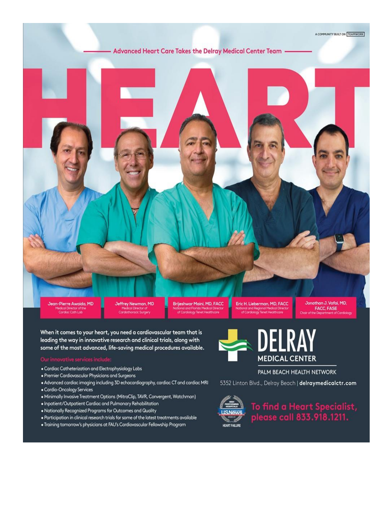

When it comes to your heart, you need a cardiovascular team that is leading the way in innovative research and clinical trials, along with some of the most advanced, life-saving medical procedures available.

- · Cardiac Catheterization and Electrophysiology Labs
- · Premier Cardiovascular Physicians and Surgeons
- . Advanced cardiac imaging including 3D echocardiography, cardiac CT and cardiac MRI
- · Cardio-Oncology Services
- · Minimally Invasive Treatment Options (MitraClip, TAVR, Convergent, Watchman)
- . Inpatient/Outpatient Cardiac and Pulmonary Rehabilitation
- . Nationally Recognized Programs for Outcomes and Quality
- . Participation in clinical research trials for some of the latest treatments available
- . Training tomorrow's physicians at FAU's Cardiovascular Fellowship Program



PALM BEACH HEALTH NETWORK

5352 Linton Blvd., Delray Beach | delraymedicalctr.com



To find a Heart Specialist,<br>please call 833.918.1211.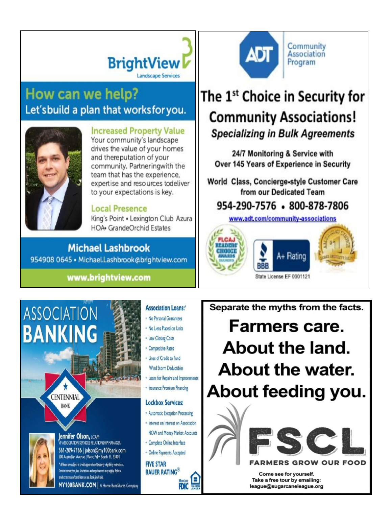

# How can we help? Let'sbuild a plan that worksfor you.



# **Increased Property Value**

Your community's landscape drives the value of your homes and thereputation of your community. Partneringwith the team that has the experience, expertise and resources todeliver to your expectations is key.

# **Local Presence**

King's Point . Lexington Club Azura HOA. GrandeOrchid Estates

**Michael Lashbrook** 954908 0645 · Michael.Lashbrook@brightview.com

# www.brightview.com

# **ASSOCIATION BANKING**

**CENTENNIAL BANK** 



# Jennifer Olson, LCAM

**VP ASSOCIATION SERVICES RELATIONSHIP MANAGER** 561-209-7166 | jolson@my100bank.com 500 Australian Avenue | West Palm Beach, FL 33401 \* All loons are subject to credit approval and property eligibility restrictions. Certain transaction fees, limitations and requirements may apply. Refer to product terms and conditions or see Bank for details

MY100BANK.COM | A Home BancShares Company

# **Association Loans:\***

- . No Personal Guarantees
- . No Liens Placed on Units
- Low Closing Costs
- Competitive Rates
- · Lines of Credit to Fund **Wind Storm Deductibles**
- . Loans for Repairs and Improvements
- Insurance Premium Financing

#### **Lockbox Services:**

- Automatic Exception Processing
- · Interest on Interest on Association **NOW and Money Market Accounts**
- · Complete Online Interface

**FDIC** 

· Online Payments Accepted

**FIVE STAR BAUER RATING®** 

Community **ADT Association** Program

# The 1<sup>st</sup> Choice in Security for **Community Associations! Specializing in Bulk Agreements**

24/7 Monitoring & Service with Over 145 Years of Experience in Security

World Class, Concierge-style Customer Care from our Dedicated Team

# 954-290-7576 . 800-878-7806

www.adt.com/community-associations



Separate the myths from the facts.

**Farmers care.** About the land. About the water. About feeding you.



## **MERS GROW OUR FOOD**

Come see for yourself. Take a free tour by emailing: league@sugarcaneleague.org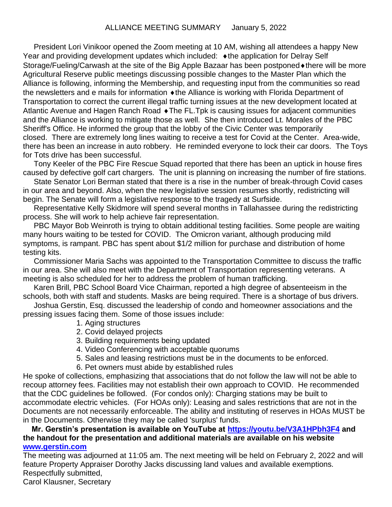President Lori Vinikoor opened the Zoom meeting at 10 AM, wishing all attendees a happy New Year and providing development updates which included:  $\bullet$  the application for Delray Self Storage/Fueling/Carwash at the site of the Big Apple Bazaar has been postponed  $\bullet$  there will be more Agricultural Reserve public meetings discussing possible changes to the Master Plan which the Alliance is following, informing the Membership, and requesting input from the communities so read the newsletters and e mails for information  $\triangleleft$  the Alliance is working with Florida Department of Transportation to correct the current illegal traffic turning issues at the new development located at Atlantic Avenue and Hagen Ranch Road  $\bullet$  The FL. Tpk is causing issues for adjacent communities and the Alliance is working to mitigate those as well. She then introduced Lt. Morales of the PBC Sheriff's Office. He informed the group that the lobby of the Civic Center was temporarily closed. There are extremely long lines waiting to receive a test for Covid at the Center. Area-wide, there has been an increase in auto robbery. He reminded everyone to lock their car doors. The Toys for Tots drive has been successful.

Tony Keeler of the PBC Fire Rescue Squad reported that there has been an uptick in house fires caused by defective golf cart chargers. The unit is planning on increasing the number of fire stations.

State Senator Lori Berman stated that there is a rise in the number of break-through Covid cases in our area and beyond. Also, when the new legislative session resumes shortly, redistricting will begin. The Senate will form a legislative response to the tragedy at Surfside.

Representative Kelly Skidmore will spend several months in Tallahassee during the redistricting process. She will work to help achieve fair representation.

PBC Mayor Bob Weinroth is trying to obtain additional testing facilities. Some people are waiting many hours waiting to be tested for COVID. The Omicron variant, although producing mild symptoms, is rampant. PBC has spent about \$1/2 million for purchase and distribution of home testing kits.

Commissioner Maria Sachs was appointed to the Transportation Committee to discuss the traffic in our area. She will also meet with the Department of Transportation representing veterans. A meeting is also scheduled for her to address the problem of human trafficking.

Karen Brill, PBC School Board Vice Chairman, reported a high degree of absenteeism in the schools, both with staff and students. Masks are being required. There is a shortage of bus drivers.

Joshua Gerstin, Esq. discussed the leadership of condo and homeowner associations and the pressing issues facing them. Some of those issues include:

- 1. Aging structures
- 2. Covid delayed projects
- 3. Building requirements being updated
- 4. Video Conferencing with acceptable quorums
- 5. Sales and leasing restrictions must be in the documents to be enforced.
- 6. Pet owners must abide by established rules

He spoke of collections, emphasizing that associations that do not follow the law will not be able to recoup attorney fees. Facilities may not establish their own approach to COVID. He recommended that the CDC guidelines be followed. (For condos only): Charging stations may be built to accommodate electric vehicles. (For HOAs only): Leasing and sales restrictions that are not in the Documents are not necessarily enforceable. The ability and instituting of reserves in HOAs MUST be in the Documents. Otherwise they may be called 'surplus' funds.

### **Mr. Gerstin's presentation is available on YouTube at<https://youtu.be/V3A1HPbh3F4> and the handout for the presentation and additional materials are available on his website [www.gerstin.com](http://www.gerstin.com/)**

The meeting was adjourned at 11:05 am. The next meeting will be held on February 2, 2022 and will feature Property Appraiser Dorothy Jacks discussing land values and available exemptions. Respectfully submitted, Carol Klausner, Secretary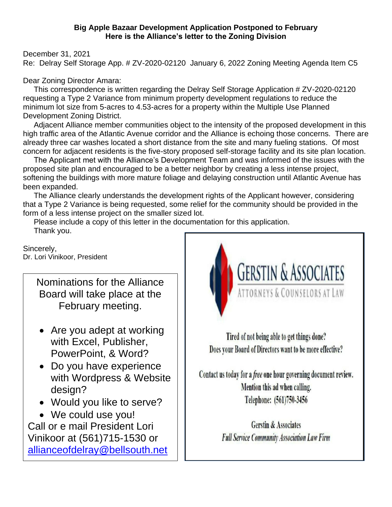#### **Big Apple Bazaar Development Application Postponed to February Here is the Alliance's letter to the Zoning Division**

December 31, 2021

Re: Delray Self Storage App. # ZV-2020-02120 January 6, 2022 Zoning Meeting Agenda Item C5

Dear Zoning Director Amara:

 This correspondence is written regarding the Delray Self Storage Application # ZV-2020-02120 requesting a Type 2 Variance from minimum property development regulations to reduce the minimum lot size from 5-acres to 4.53-acres for a property within the Multiple Use Planned Development Zoning District.

 Adjacent Alliance member communities object to the intensity of the proposed development in this high traffic area of the Atlantic Avenue corridor and the Alliance is echoing those concerns. There are already three car washes located a short distance from the site and many fueling stations. Of most concern for adjacent residents is the five-story proposed self-storage facility and its site plan location.

 The Applicant met with the Alliance's Development Team and was informed of the issues with the proposed site plan and encouraged to be a better neighbor by creating a less intense project, softening the buildings with more mature foliage and delaying construction until Atlantic Avenue has been expanded.

 The Alliance clearly understands the development rights of the Applicant however, considering that a Type 2 Variance is being requested, some relief for the community should be provided in the form of a less intense project on the smaller sized lot.

 Please include a copy of this letter in the documentation for this application. Thank you.

Sincerely, Dr. Lori Vinikoor, President

> Nominations for the Alliance Board will take place at the February meeting.

- Are you adept at working with Excel, Publisher, PowerPoint, & Word?
- Do you have experience with Wordpress & Website design?
- Would you like to serve?
- We could use you!

Call or e mail President Lori Vinikoor at (561)715-1530 or [allianceofdelray@bellsouth.net](mailto:allianceofdelray@bellsouth.net)



Tired of not being able to get things done? Does your Board of Directors want to be more effective?

Contact us today for a free one hour governing document review. Mention this ad when calling. Telephone: (561)750-3456

> **Gerstin & Associates Full Service Community Association Law Firm**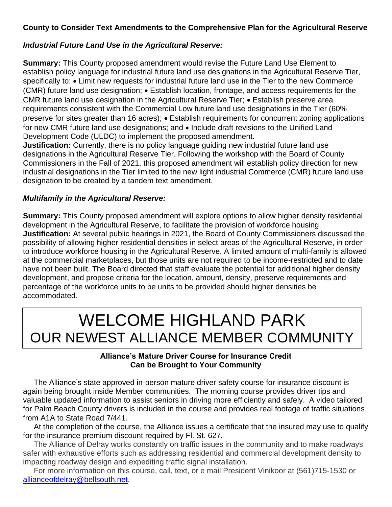# **County to Consider Text Amendments to the Comprehensive Plan for the Agricultural Reserve**

# *Industrial Future Land Use in the Agricultural Reserve:*

**Summary:** This County proposed amendment would revise the Future Land Use Element to establish policy language for industrial future land use designations in the Agricultural Reserve Tier, specifically to: • Limit new requests for industrial future land use in the Tier to the new Commerce (CMR) future land use designation; • Establish location, frontage, and access requirements for the CMR future land use designation in the Agricultural Reserve Tier; • Establish preserve area requirements consistent with the Commercial Low future land use designations in the Tier (60% preserve for sites greater than 16 acres); • Establish requirements for concurrent zoning applications for new CMR future land use designations; and • Include draft revisions to the Unified Land Development Code (ULDC) to implement the proposed amendment.

**Justification:** Currently, there is no policy language guiding new industrial future land use designations in the Agricultural Reserve Tier. Following the workshop with the Board of County Commissioners in the Fall of 2021, this proposed amendment will establish policy direction for new industrial designations in the Tier limited to the new light industrial Commerce (CMR) future land use designation to be created by a tandem text amendment.

#### *Multifamily in the Agricultural Reserve:*

**Summary:** This County proposed amendment will explore options to allow higher density residential development in the Agricultural Reserve, to facilitate the provision of workforce housing. **Justification:** At several public hearings in 2021, the Board of County Commissioners discussed the possibility of allowing higher residential densities in select areas of the Agricultural Reserve, in order to introduce workforce housing in the Agricultural Reserve. A limited amount of multi-family is allowed at the commercial marketplaces, but those units are not required to be income-restricted and to date have not been built. The Board directed that staff evaluate the potential for additional higher density development, and propose criteria for the location, amount, density, preserve requirements and percentage of the workforce units to be units to be provided should higher densities be accommodated.

# WELCOME HIGHLAND PARK OUR NEWEST ALLIANCE MEMBER COMMUNITY

#### **Alliance's Mature Driver Course for Insurance Credit Can be Brought to Your Community**

 The Alliance's state approved in-person mature driver safety course for insurance discount is again being brought inside Member communities. The morning course provides driver tips and valuable updated information to assist seniors in driving more efficiently and safely. A video tailored for Palm Beach County drivers is included in the course and provides real footage of traffic situations from A1A to State Road 7/441.

 At the completion of the course, the Alliance issues a certificate that the insured may use to qualify for the insurance premium discount required by Fl. St. 627.

 The Alliance of Delray works constantly on traffic issues in the community and to make roadways safer with exhaustive efforts such as addressing residential and commercial development density to impacting roadway design and expediting traffic signal installation.

 For more information on this course, call, text, or e mail President Vinikoor at (561)715-1530 or [allianceofdelray@bellsouth.net.](mailto:allianceofdelray@bellsouth.net)